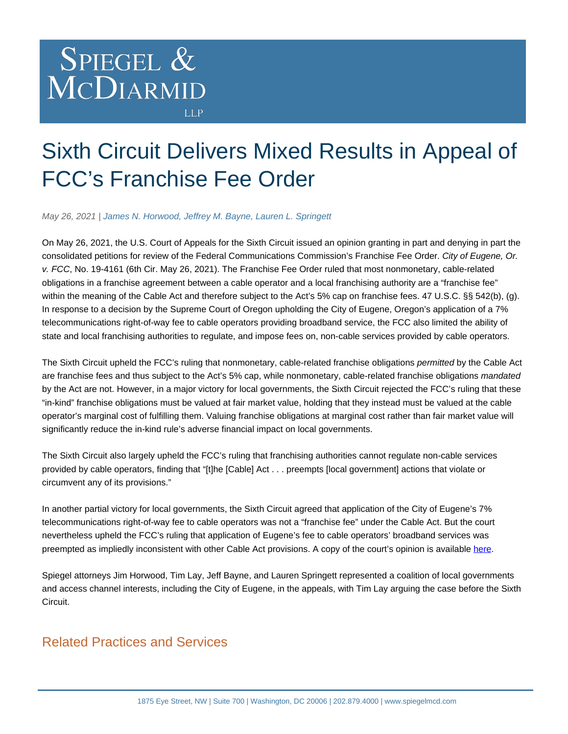## SPIEGEL & MCDIARMID **LLP**

## Sixth Circuit Delivers Mixed Results in Appeal of FCC's Franchise Fee Order

May 26, 2021 | [James N. Horwood,](https://www.spiegelmcd.com/professionals/james-horwood/) [Jeffrey M. Bayne](https://www.spiegelmcd.com/professionals/jeffrey-bayne/), [Lauren L. Springett](https://www.spiegelmcd.com/professionals/lauren-l-springett/)

On May 26, 2021, the U.S. Court of Appeals for the Sixth Circuit issued an opinion granting in part and denying in part the consolidated petitions for review of the Federal Communications Commission's Franchise Fee Order. City of Eugene, Or. v. FCC, No. 19-4161 (6th Cir. May 26, 2021). The Franchise Fee Order ruled that most nonmonetary, cable-related obligations in a franchise agreement between a cable operator and a local franchising authority are a "franchise fee" within the meaning of the Cable Act and therefore subject to the Act's 5% cap on franchise fees. 47 U.S.C. §§ 542(b), (g). In response to a decision by the Supreme Court of Oregon upholding the City of Eugene, Oregon's application of a 7% telecommunications right-of-way fee to cable operators providing broadband service, the FCC also limited the ability of state and local franchising authorities to regulate, and impose fees on, non-cable services provided by cable operators.

The Sixth Circuit upheld the FCC's ruling that nonmonetary, cable-related franchise obligations permitted by the Cable Act are franchise fees and thus subject to the Act's 5% cap, while nonmonetary, cable-related franchise obligations mandated by the Act are not. However, in a major victory for local governments, the Sixth Circuit rejected the FCC's ruling that these "in-kind" franchise obligations must be valued at fair market value, holding that they instead must be valued at the cable operator's marginal cost of fulfilling them. Valuing franchise obligations at marginal cost rather than fair market value will significantly reduce the in-kind rule's adverse financial impact on local governments.

The Sixth Circuit also largely upheld the FCC's ruling that franchising authorities cannot regulate non-cable services provided by cable operators, finding that "[t]he [Cable] Act . . . preempts [local government] actions that violate or circumvent any of its provisions."

In another partial victory for local governments, the Sixth Circuit agreed that application of the City of Eugene's 7% telecommunications right-of-way fee to cable operators was not a "franchise fee" under the Cable Act. But the court nevertheless upheld the FCC's ruling that application of Eugene's fee to cable operators' broadband services was preempted as impliedly inconsistent with other Cable Act provisions. A copy of the court's opinion is available [here.](https://www.govinfo.gov/content/pkg/USCOURTS-ca6-19-04161/pdf/USCOURTS-ca6-19-04161-1.pdf)

Spiegel attorneys Jim Horwood, Tim Lay, Jeff Bayne, and Lauren Springett represented a coalition of local governments and access channel interests, including the City of Eugene, in the appeals, with Tim Lay arguing the case before the Sixth Circuit.

## Related Practices and Services